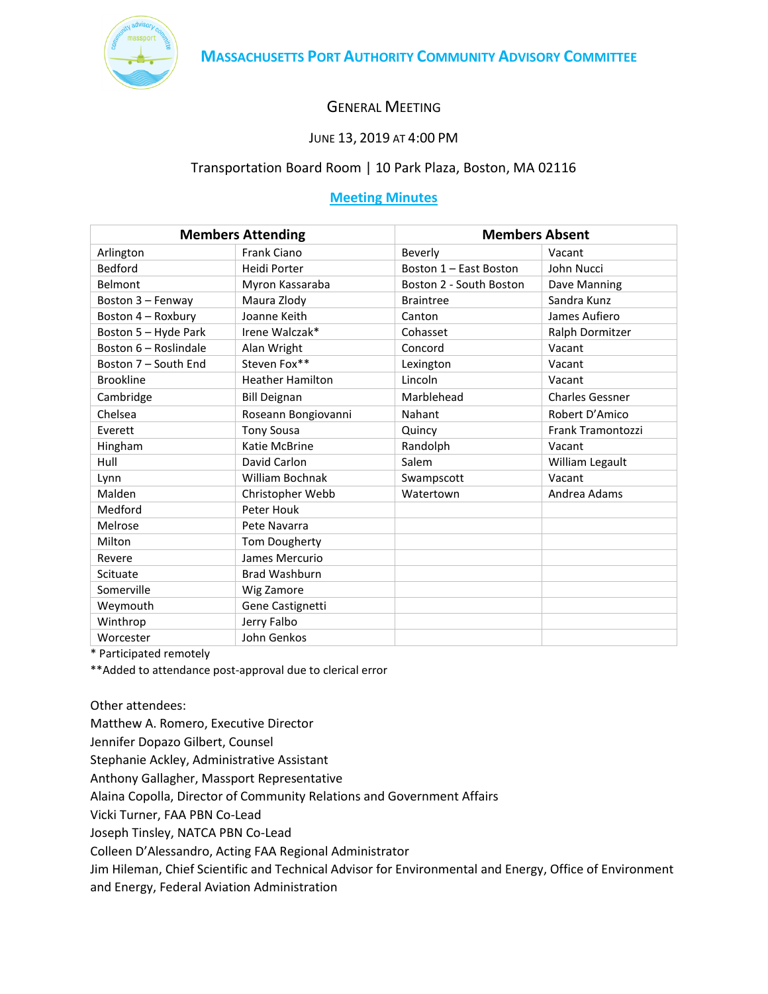

# GENERAL MEETING

# JUNE 13, 2019 AT 4:00 PM

# Transportation Board Room | 10 Park Plaza, Boston, MA 02116

# **Meeting Minutes**

| <b>Members Attending</b> |                         | <b>Members Absent</b>   |                        |
|--------------------------|-------------------------|-------------------------|------------------------|
| Arlington                | Frank Ciano             | Beverly                 | Vacant                 |
| <b>Bedford</b>           | Heidi Porter            | Boston 1 - East Boston  | John Nucci             |
| Belmont                  | Myron Kassaraba         | Boston 2 - South Boston | Dave Manning           |
| Boston 3 - Fenway        | Maura Zlody             | <b>Braintree</b>        | Sandra Kunz            |
| Boston 4 - Roxbury       | Joanne Keith            | Canton                  | James Aufiero          |
| Boston 5 - Hyde Park     | Irene Walczak*          | Cohasset                | Ralph Dormitzer        |
| Boston 6 - Roslindale    | Alan Wright             | Concord                 | Vacant                 |
| Boston 7 - South End     | Steven Fox**            | Lexington               | Vacant                 |
| <b>Brookline</b>         | <b>Heather Hamilton</b> | Lincoln                 | Vacant                 |
| Cambridge                | <b>Bill Deignan</b>     | Marblehead              | <b>Charles Gessner</b> |
| Chelsea                  | Roseann Bongiovanni     | Nahant                  | Robert D'Amico         |
| Everett                  | <b>Tony Sousa</b>       | Quincy                  | Frank Tramontozzi      |
| Hingham                  | Katie McBrine           | Randolph                | Vacant                 |
| Hull                     | David Carlon            | Salem                   | William Legault        |
| Lynn                     | William Bochnak         | Swampscott              | Vacant                 |
| Malden                   | Christopher Webb        | Watertown               | Andrea Adams           |
| Medford                  | Peter Houk              |                         |                        |
| Melrose                  | Pete Navarra            |                         |                        |
| Milton                   | <b>Tom Dougherty</b>    |                         |                        |
| Revere                   | James Mercurio          |                         |                        |
| Scituate                 | <b>Brad Washburn</b>    |                         |                        |
| Somerville               | Wig Zamore              |                         |                        |
| Weymouth                 | Gene Castignetti        |                         |                        |
| Winthrop                 | Jerry Falbo             |                         |                        |
| Worcester                | John Genkos             |                         |                        |

\* Participated remotely

\*\*Added to attendance post-approval due to clerical error

Other attendees:

Matthew A. Romero, Executive Director

Jennifer Dopazo Gilbert, Counsel

Stephanie Ackley, Administrative Assistant

Anthony Gallagher, Massport Representative

Alaina Copolla, Director of Community Relations and Government Affairs

Vicki Turner, FAA PBN Co-Lead

Joseph Tinsley, NATCA PBN Co-Lead

Colleen D'Alessandro, Acting FAA Regional Administrator

Jim Hileman, Chief Scientific and Technical Advisor for Environmental and Energy, Office of Environment and Energy, Federal Aviation Administration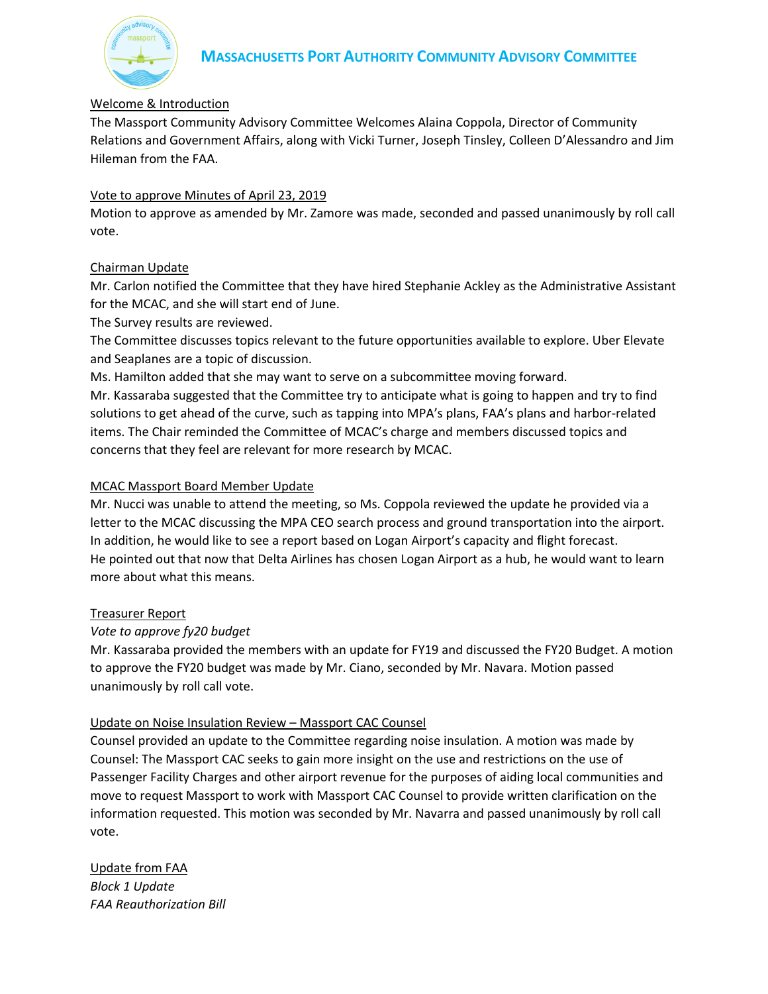

# Welcome & Introduction

The Massport Community Advisory Committee Welcomes Alaina Coppola, Director of Community Relations and Government Affairs, along with Vicki Turner, Joseph Tinsley, Colleen D'Alessandro and Jim Hileman from the FAA.

# Vote to approve Minutes of April 23, 2019

Motion to approve as amended by Mr. Zamore was made, seconded and passed unanimously by roll call vote.

# Chairman Update

Mr. Carlon notified the Committee that they have hired Stephanie Ackley as the Administrative Assistant for the MCAC, and she will start end of June.

The Survey results are reviewed.

The Committee discusses topics relevant to the future opportunities available to explore. Uber Elevate and Seaplanes are a topic of discussion.

Ms. Hamilton added that she may want to serve on a subcommittee moving forward.

Mr. Kassaraba suggested that the Committee try to anticipate what is going to happen and try to find solutions to get ahead of the curve, such as tapping into MPA's plans, FAA's plans and harbor-related items. The Chair reminded the Committee of MCAC's charge and members discussed topics and concerns that they feel are relevant for more research by MCAC.

#### MCAC Massport Board Member Update

Mr. Nucci was unable to attend the meeting, so Ms. Coppola reviewed the update he provided via a letter to the MCAC discussing the MPA CEO search process and ground transportation into the airport. In addition, he would like to see a report based on Logan Airport's capacity and flight forecast. He pointed out that now that Delta Airlines has chosen Logan Airport as a hub, he would want to learn more about what this means.

#### Treasurer Report

# *Vote to approve fy20 budget*

Mr. Kassaraba provided the members with an update for FY19 and discussed the FY20 Budget. A motion to approve the FY20 budget was made by Mr. Ciano, seconded by Mr. Navara. Motion passed unanimously by roll call vote.

# Update on Noise Insulation Review – Massport CAC Counsel

Counsel provided an update to the Committee regarding noise insulation. A motion was made by Counsel: The Massport CAC seeks to gain more insight on the use and restrictions on the use of Passenger Facility Charges and other airport revenue for the purposes of aiding local communities and move to request Massport to work with Massport CAC Counsel to provide written clarification on the information requested. This motion was seconded by Mr. Navarra and passed unanimously by roll call vote.

Update from FAA *Block 1 Update FAA Reauthorization Bill*